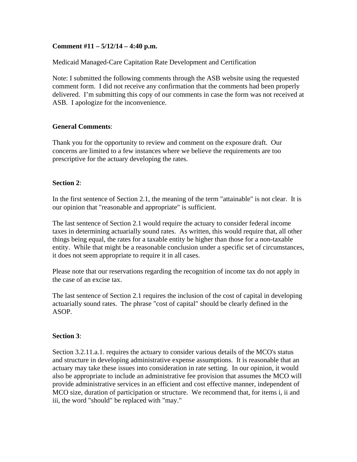## **Comment #11 – 5/12/14 – 4:40 p.m.**

Medicaid Managed-Care Capitation Rate Development and Certification

Note: I submitted the following comments through the ASB website using the requested comment form. I did not receive any confirmation that the comments had been properly delivered. I'm submitting this copy of our comments in case the form was not received at ASB. I apologize for the inconvenience.

### **General Comments**:

Thank you for the opportunity to review and comment on the exposure draft. Our concerns are limited to a few instances where we believe the requirements are too prescriptive for the actuary developing the rates.

## **Section 2**:

In the first sentence of Section 2.1, the meaning of the term "attainable" is not clear. It is our opinion that "reasonable and appropriate" is sufficient.

The last sentence of Section 2.1 would require the actuary to consider federal income taxes in determining actuarially sound rates. As written, this would require that, all other things being equal, the rates for a taxable entity be higher than those for a non-taxable entity. While that might be a reasonable conclusion under a specific set of circumstances, it does not seem appropriate to require it in all cases.

Please note that our reservations regarding the recognition of income tax do not apply in the case of an excise tax.

The last sentence of Section 2.1 requires the inclusion of the cost of capital in developing actuarially sound rates. The phrase "cost of capital" should be clearly defined in the ASOP.

### **Section 3**:

Section 3.2.11.a.1. requires the actuary to consider various details of the MCO's status and structure in developing administrative expense assumptions. It is reasonable that an actuary may take these issues into consideration in rate setting. In our opinion, it would also be appropriate to include an administrative fee provision that assumes the MCO will provide administrative services in an efficient and cost effective manner, independent of MCO size, duration of participation or structure. We recommend that, for items i, ii and iii, the word "should" be replaced with "may."